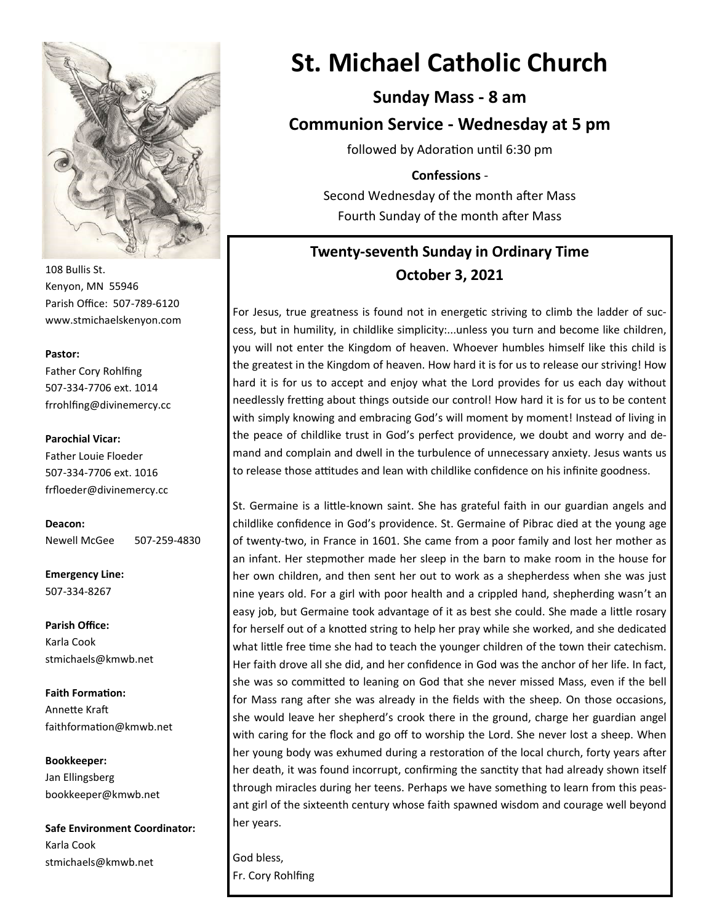

108 Bullis St. Kenyon, MN 55946 Parish Office: 507-789-6120 www.stmichaelskenyon.com

#### **Pastor:**

Father Cory Rohlfing 507-334-7706 ext. 1014 frrohlfing@divinemercy.cc

#### **Parochial Vicar:**

Father Louie Floeder 507-334-7706 ext. 1016 frfloeder@divinemercy.cc

**Deacon:**  Newell McGee 507-259-4830

**Emergency Line:** 507-334-8267

**Parish Office:**  Karla Cook stmichaels@kmwb.net

**Faith Formation:**  Annette Kraft faithformation@kmwb.net

**Bookkeeper:**  Jan Ellingsberg bookkeeper@kmwb.net

**Safe Environment Coordinator:** Karla Cook stmichaels@kmwb.net

# **St. Michael Catholic Church**

**Sunday Mass - 8 am Communion Service - Wednesday at 5 pm**

followed by Adoration until 6:30 pm

**Confessions** - Second Wednesday of the month after Mass Fourth Sunday of the month after Mass

# **Twenty-seventh Sunday in Ordinary Time October 3, 2021**

For Jesus, true greatness is found not in energetic striving to climb the ladder of success, but in humility, in childlike simplicity:...unless you turn and become like children, you will not enter the Kingdom of heaven. Whoever humbles himself like this child is the greatest in the Kingdom of heaven. How hard it is for us to release our striving! How hard it is for us to accept and enjoy what the Lord provides for us each day without needlessly fretting about things outside our control! How hard it is for us to be content with simply knowing and embracing God's will moment by moment! Instead of living in the peace of childlike trust in God's perfect providence, we doubt and worry and demand and complain and dwell in the turbulence of unnecessary anxiety. Jesus wants us to release those attitudes and lean with childlike confidence on his infinite goodness.

St. Germaine is a little-known saint. She has grateful faith in our guardian angels and childlike confidence in God's providence. St. Germaine of Pibrac died at the young age of twenty-two, in France in 1601. She came from a poor family and lost her mother as an infant. Her stepmother made her sleep in the barn to make room in the house for her own children, and then sent her out to work as a shepherdess when she was just nine years old. For a girl with poor health and a crippled hand, shepherding wasn't an easy job, but Germaine took advantage of it as best she could. She made a little rosary for herself out of a knotted string to help her pray while she worked, and she dedicated what little free time she had to teach the younger children of the town their catechism. Her faith drove all she did, and her confidence in God was the anchor of her life. In fact, she was so committed to leaning on God that she never missed Mass, even if the bell for Mass rang after she was already in the fields with the sheep. On those occasions, she would leave her shepherd's crook there in the ground, charge her guardian angel with caring for the flock and go off to worship the Lord. She never lost a sheep. When her young body was exhumed during a restoration of the local church, forty years after her death, it was found incorrupt, confirming the sanctity that had already shown itself through miracles during her teens. Perhaps we have something to learn from this peasant girl of the sixteenth century whose faith spawned wisdom and courage well beyond her years.

God bless, Fr. Cory Rohlfing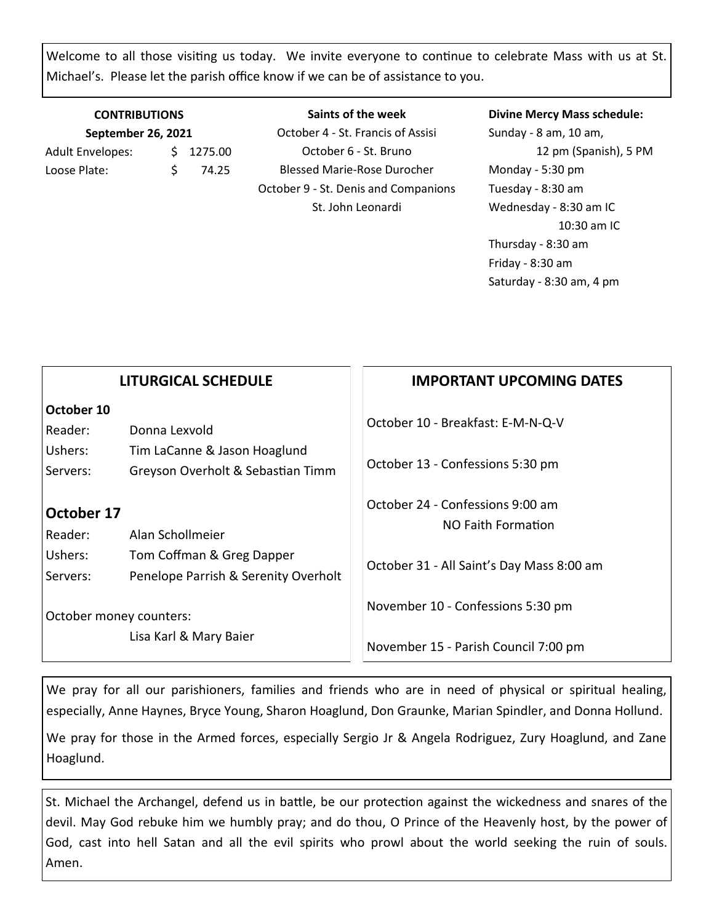Welcome to all those visiting us today. We invite everyone to continue to celebrate Mass with us at St. Michael's. Please let the parish office know if we can be of assistance to you.

### **CONTRIBUTIONS September 26, 2021** Adult Envelopes:  $\frac{1}{2}$  1275.00 Loose Plate: \$ 74.25

**Saints of the week** October 4 - St. Francis of Assisi October 6 - St. Bruno Blessed Marie-Rose Durocher October 9 - St. Denis and Companions St. John Leonardi

#### **Divine Mercy Mass schedule:**

Sunday - 8 am, 10 am, 12 pm (Spanish), 5 PM Monday - 5:30 pm Tuesday - 8:30 am Wednesday - 8:30 am IC 10:30 am IC Thursday - 8:30 am Friday - 8:30 am Saturday - 8:30 am, 4 pm

|                                                                                   | <b>LITURGICAL SCHEDULE</b>                                                                | <b>IMPORTANT UPCOMING DATES</b>                                                |
|-----------------------------------------------------------------------------------|-------------------------------------------------------------------------------------------|--------------------------------------------------------------------------------|
| October 10<br>Reader:<br>Ushers:<br>Servers:                                      | Donna Lexvold<br>Tim LaCanne & Jason Hoaglund<br>Greyson Overholt & Sebastian Timm        | October 10 - Breakfast: E-M-N-Q-V<br>October 13 - Confessions 5:30 pm          |
| October 17<br>Alan Schollmeier<br>Reader:<br>Ushers:<br>Tom Coffman & Greg Dapper |                                                                                           | October 24 - Confessions 9:00 am<br>NO Faith Formation                         |
| Servers:                                                                          | Penelope Parrish & Serenity Overholt<br>October money counters:<br>Lisa Karl & Mary Baier | October 31 - All Saint's Day Mass 8:00 am<br>November 10 - Confessions 5:30 pm |
|                                                                                   |                                                                                           | November 15 - Parish Council 7:00 pm                                           |

We pray for all our parishioners, families and friends who are in need of physical or spiritual healing, especially, Anne Haynes, Bryce Young, Sharon Hoaglund, Don Graunke, Marian Spindler, and Donna Hollund.

We pray for those in the Armed forces, especially Sergio Jr & Angela Rodriguez, Zury Hoaglund, and Zane Hoaglund.

St. Michael the Archangel, defend us in battle, be our protection against the wickedness and snares of the devil. May God rebuke him we humbly pray; and do thou, O Prince of the Heavenly host, by the power of God, cast into hell Satan and all the evil spirits who prowl about the world seeking the ruin of souls. Amen.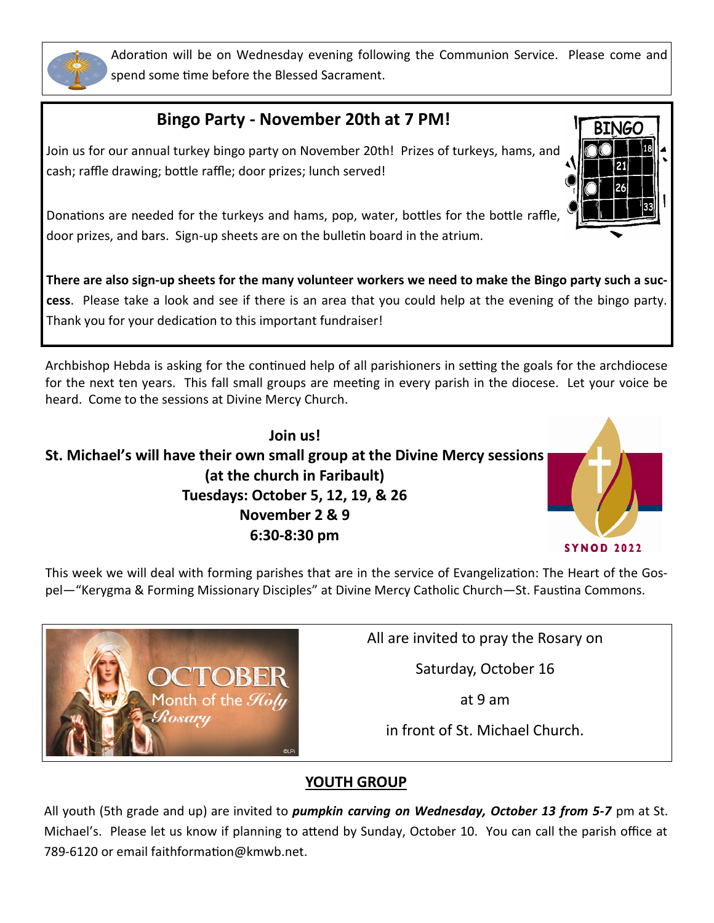

Adoration will be on Wednesday evening following the Communion Service. Please come and spend some time before the Blessed Sacrament.

# **Bingo Party - November 20th at 7 PM!**

Join us for our annual turkey bingo party on November 20th! Prizes of turkeys, hams, and cash; raffle drawing; bottle raffle; door prizes; lunch served!



Donations are needed for the turkeys and hams, pop, water, bottles for the bottle raffle, door prizes, and bars. Sign-up sheets are on the bulletin board in the atrium.

**There are also sign-up sheets for the many volunteer workers we need to make the Bingo party such a success**. Please take a look and see if there is an area that you could help at the evening of the bingo party. Thank you for your dedication to this important fundraiser!

Archbishop Hebda is asking for the continued help of all parishioners in setting the goals for the archdiocese for the next ten years. This fall small groups are meeting in every parish in the diocese. Let your voice be heard. Come to the sessions at Divine Mercy Church.



This week we will deal with forming parishes that are in the service of Evangelization: The Heart of the Gospel—"Kerygma & Forming Missionary Disciples" at Divine Mercy Catholic Church—St. Faustina Commons.



All are invited to pray the Rosary on

Saturday, October 16

at 9 am

in front of St. Michael Church.

## **YOUTH GROUP**

All youth (5th grade and up) are invited to *pumpkin carving on Wednesday, October 13 from 5-7* pm at St. Michael's. Please let us know if planning to attend by Sunday, October 10. You can call the parish office at 789-6120 or email faithformation@kmwb.net.